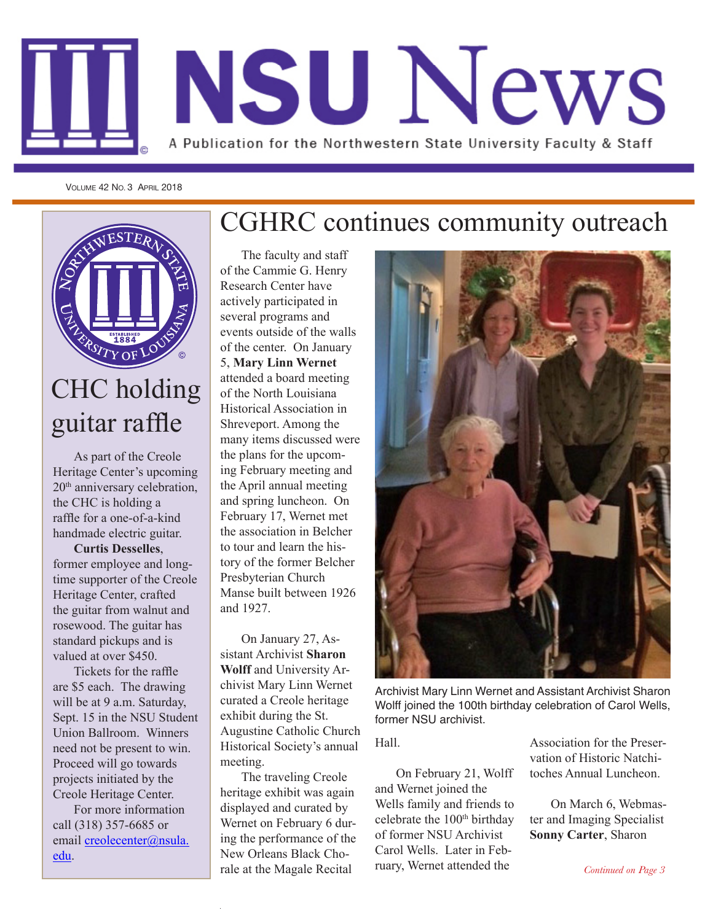

VOLUME 42 NO. 3 APRIL 2018



## CHC holding guitar raffle

As part of the Creole Heritage Center's upcoming 20<sup>th</sup> anniversary celebration. the CHC is holding a raffle for a one-of-a-kind handmade electric guitar.

**Curtis Desselles**, former employee and longtime supporter of the Creole Heritage Center, crafted the guitar from walnut and rosewood. The guitar has standard pickups and is valued at over \$450.

Tickets for the raffle are \$5 each. The drawing will be at 9 a.m. Saturday, Sept. 15 in the NSU Student Union Ballroom. Winners need not be present to win. Proceed will go towards projects initiated by the Creole Heritage Center.

For more information call (318) 357-6685 or email creolecenter@nsula. edu.

## CGHRC continues community outreach

The faculty and staff of the Cammie G. Henry Research Center have actively participated in several programs and events outside of the walls of the center. On January 5, **Mary Linn Wernet** attended a board meeting of the North Louisiana Historical Association in Shreveport. Among the many items discussed were the plans for the upcoming February meeting and the April annual meeting and spring luncheon. On February 17, Wernet met the association in Belcher to tour and learn the history of the former Belcher Presbyterian Church Manse built between 1926 and 1927.

On January 27, Assistant Archivist **Sharon Wolff** and University Archivist Mary Linn Wernet curated a Creole heritage exhibit during the St. Augustine Catholic Church Historical Society's annual meeting.

The traveling Creole heritage exhibit was again displayed and curated by Wernet on February 6 during the performance of the New Orleans Black Chorale at the Magale Recital



Archivist Mary Linn Wernet and Assistant Archivist Sharon Wolff joined the 100th birthday celebration of Carol Wells, former NSU archivist.

Hall.

On February 21, Wolff and Wernet joined the Wells family and friends to celebrate the 100<sup>th</sup> birthday of former NSU Archivist Carol Wells. Later in February, Wernet attended the

Association for the Preservation of Historic Natchitoches Annual Luncheon.

On March 6, Webmaster and Imaging Specialist **Sonny Carter**, Sharon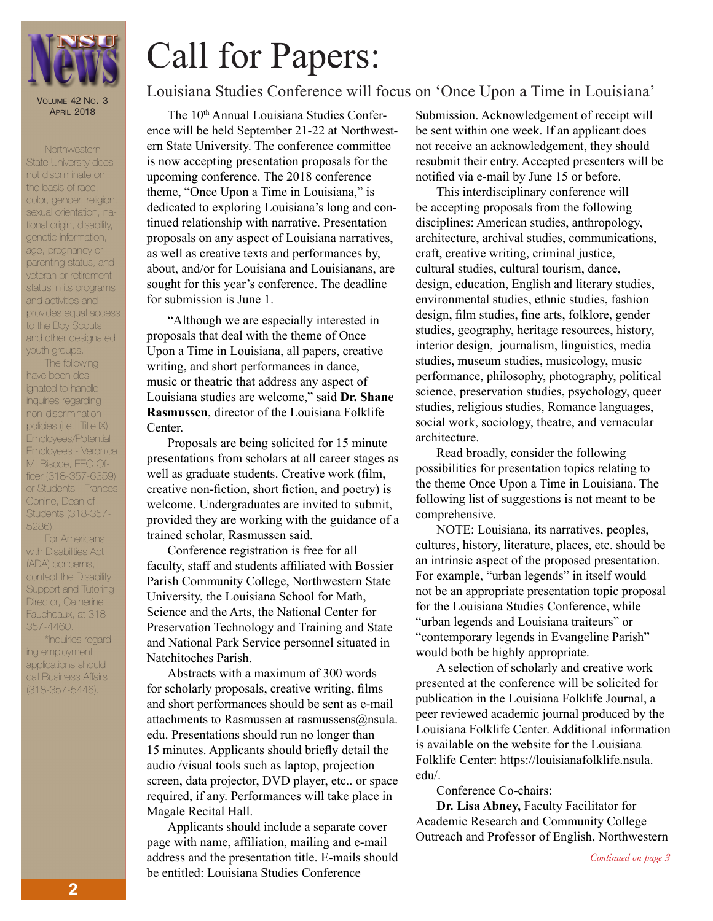

VOLUME 42 NO. 3 **APRIL 2018** 

**Northwestern** 

#### nominesiem<br>State University does otate on liveralty dec<br>not discriminate on color, gerider, religion,<br>sexual orientation, nasexuar onen liallon, ma<br>tional origin, disability, **Thursday,**  genetic information, **April 26** age, pregnancy or please in the monetary internal<br>Please in the programs status in its programs and activities and provides equal access to the Boy Scouts and other designated the basis of race, color, gender, religion, parenting status, and veteran or retirement

have been desnate been acc<br>ignated to handle *NSU News is a news-*inquiries regarding *letter published by the*  non-discrimination *NSU News Bureau.* policies (i.e., Title IX): Employees - Veronica *faculty and staff of*  M. Biscoe, EEO Of-*Northwestern State*  ficer (318-357-6359) *University. Personnel*  or Students - Frances *on all campuses are encouraged to submit*  Conine, Dean of *information regard-*Students (318-357 *ing their professional*  5286). The following Employees/Potential

youth groups.

*accomplishments as*  For Americans with Disabilities Act *milestones.*  (ADA) concerns, contact the Disability Support and Tutoring Director, Catherine Faucheaux, at 318- 357-4460.

\*Inquiries regarding employment applications should call Business Affairs (318-357-5446).

# Call for Papers: Louisiana Studies Conference will focus on 'Once Upon a Time in Louisiana'

The 10<sup>th</sup> Annual Louisiana Studies Conference will be held September 21-22 at Northwestern State University. The conference committee is now accepting presentation proposals for the upcoming conference. The 2018 conference theme, "Once Upon a Time in Louisiana," is dedicated to exploring Louisiana's long and continued relationship with narrative. Presentation proposals on any aspect of Louisiana narratives, as well as creative texts and performances by, about, and/or for Louisiana and Louisianans, are sought for this year's conference. The deadline for submission is June 1.

"Although we are especially interested in proposals that deal with the theme of Once Upon a Time in Louisiana, all papers, creative writing, and short performances in dance, music or theatric that address any aspect of Louisiana studies are welcome," said **Dr. Shane Rasmussen**, director of the Louisiana Folklife Center.

Proposals are being solicited for 15 minute presentations from scholars at all career stages as well as graduate students. Creative work (film, creative non-fiction, short fiction, and poetry) is welcome. Undergraduates are invited to submit, provided they are working with the guidance of a trained scholar, Rasmussen said.

Conference registration is free for all faculty, staff and students affiliated with Bossier Parish Community College, Northwestern State University, the Louisiana School for Math, Science and the Arts, the National Center for Preservation Technology and Training and State and National Park Service personnel situated in Natchitoches Parish.

Abstracts with a maximum of 300 words for scholarly proposals, creative writing, films and short performances should be sent as e-mail attachments to Rasmussen at rasmussens@nsula. edu. Presentations should run no longer than 15 minutes. Applicants should briefly detail the audio /visual tools such as laptop, projection screen, data projector, DVD player, etc.. or space required, if any. Performances will take place in Magale Recital Hall.

Applicants should include a separate cover page with name, affiliation, mailing and e-mail address and the presentation title. E-mails should be entitled: Louisiana Studies Conference

Submission. Acknowledgement of receipt will be sent within one week. If an applicant does not receive an acknowledgement, they should resubmit their entry. Accepted presenters will be notified via e-mail by June 15 or before.

This interdisciplinary conference will be accepting proposals from the following disciplines: American studies, anthropology, architecture, archival studies, communications, craft, creative writing, criminal justice, cultural studies, cultural tourism, dance, design, education, English and literary studies, environmental studies, ethnic studies, fashion design, film studies, fine arts, folklore, gender studies, geography, heritage resources, history, interior design, journalism, linguistics, media studies, museum studies, musicology, music performance, philosophy, photography, political science, preservation studies, psychology, queer studies, religious studies, Romance languages, social work, sociology, theatre, and vernacular architecture.

Read broadly, consider the following possibilities for presentation topics relating to the theme Once Upon a Time in Louisiana. The following list of suggestions is not meant to be comprehensive.

NOTE: Louisiana, its narratives, peoples, cultures, history, literature, places, etc. should be an intrinsic aspect of the proposed presentation. For example, "urban legends" in itself would not be an appropriate presentation topic proposal for the Louisiana Studies Conference, while "urban legends and Louisiana traiteurs" or "contemporary legends in Evangeline Parish" would both be highly appropriate.

A selection of scholarly and creative work presented at the conference will be solicited for publication in the Louisiana Folklife Journal, a peer reviewed academic journal produced by the Louisiana Folklife Center. Additional information is available on the website for the Louisiana Folklife Center: https://louisianafolklife.nsula. edu/.

Conference Co-chairs:

**Dr. Lisa Abney,** Faculty Facilitator for Academic Research and Community College Outreach and Professor of English, Northwestern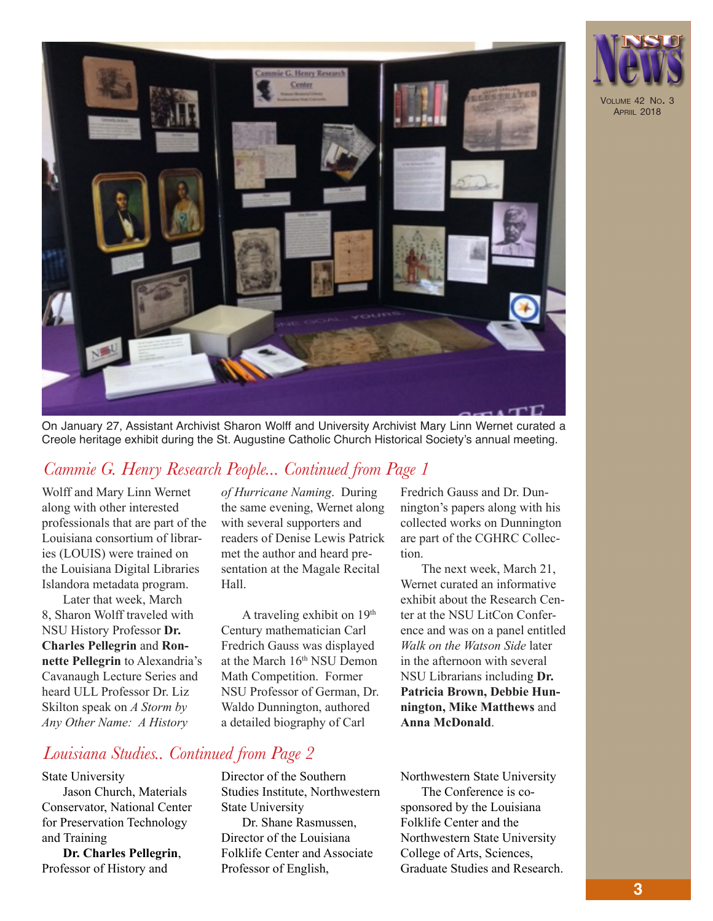

On January 27, Assistant Archivist Sharon Wolff and University Archivist Mary Linn Wernet curated a Creole heritage exhibit during the St. Augustine Catholic Church Historical Society's annual meeting.

### *Cammie G. Henry Research People... Continued from Page 1*

Wolff and Mary Linn Wernet along with other interested professionals that are part of the Louisiana consortium of libraries (LOUIS) were trained on the Louisiana Digital Libraries Islandora metadata program.

Later that week, March 8, Sharon Wolff traveled with NSU History Professor **Dr. Charles Pellegrin** and **Ronnette Pellegrin** to Alexandria's Cavanaugh Lecture Series and heard ULL Professor Dr. Liz Skilton speak on *A Storm by Any Other Name: A History* 

*of Hurricane Naming*. During the same evening, Wernet along with several supporters and readers of Denise Lewis Patrick met the author and heard presentation at the Magale Recital Hall.

A traveling exhibit on 19<sup>th</sup> Century mathematician Carl Fredrich Gauss was displayed at the March 16th NSU Demon Math Competition. Former NSU Professor of German, Dr. Waldo Dunnington, authored a detailed biography of Carl

Fredrich Gauss and Dr. Dunnington's papers along with his collected works on Dunnington are part of the CGHRC Collection.

The next week, March 21, Wernet curated an informative exhibit about the Research Center at the NSU LitCon Conference and was on a panel entitled *Walk on the Watson Side* later in the afternoon with several NSU Librarians including **Dr. Patricia Brown, Debbie Hunnington, Mike Matthews** and **Anna McDonald**.

#### *Louisiana Studies.. Continued from Page 2*

#### State University

Jason Church, Materials Conservator, National Center for Preservation Technology and Training

**Dr. Charles Pellegrin**, Professor of History and

Director of the Southern Studies Institute, Northwestern State University

Dr. Shane Rasmussen, Director of the Louisiana Folklife Center and Associate Professor of English,

Northwestern State University The Conference is cosponsored by the Louisiana Folklife Center and the Northwestern State University College of Arts, Sciences, Graduate Studies and Research.

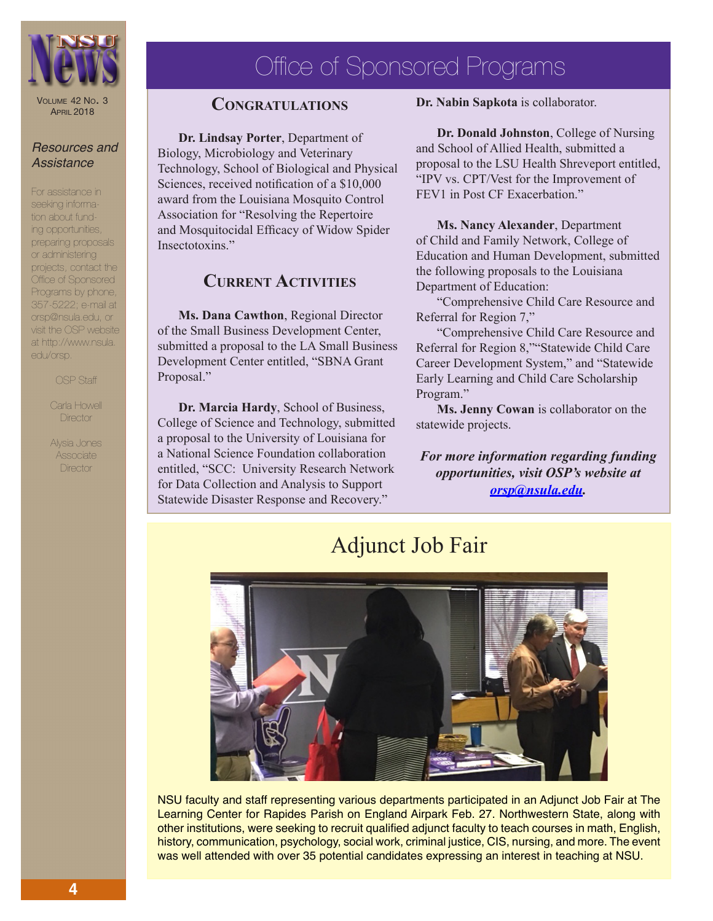

VOLUME 42 NO. 3 **APRIL 2018** 

#### *Resources and Assistance*

For assistance in seeking information about funding opportunities, preparing proposals or administering projects, contact the Office of Sponsored Programs by phone, 357-5222; e-mail at orsp@nsula.edu, or visit the OSP website at http://www.nsula. edu/orsp.

OSP Staff

Carla Howell **Director** 

Alysia Jones Associate **Director** 

## Office of Sponsored Programs

#### **Congratulations**

**Dr. Lindsay Porter**, Department of Biology, Microbiology and Veterinary Technology, School of Biological and Physical Sciences, received notification of a \$10,000 award from the Louisiana Mosquito Control Association for "Resolving the Repertoire and Mosquitocidal Efficacy of Widow Spider Insectotoxins."

#### **Current Activities**

**Ms. Dana Cawthon**, Regional Director of the Small Business Development Center, submitted a proposal to the LA Small Business Development Center entitled, "SBNA Grant Proposal."

**Dr. Marcia Hardy**, School of Business, College of Science and Technology, submitted a proposal to the University of Louisiana for a National Science Foundation collaboration entitled, "SCC: University Research Network for Data Collection and Analysis to Support Statewide Disaster Response and Recovery."

**Dr. Nabin Sapkota** is collaborator.

**Dr. Donald Johnston**, College of Nursing and School of Allied Health, submitted a proposal to the LSU Health Shreveport entitled, "IPV vs. CPT/Vest for the Improvement of FEV1 in Post CF Exacerbation."

**Ms. Nancy Alexander**, Department of Child and Family Network, College of Education and Human Development, submitted the following proposals to the Louisiana Department of Education:

"Comprehensive Child Care Resource and Referral for Region 7,"

"Comprehensive Child Care Resource and Referral for Region 8,""Statewide Child Care Career Development System," and "Statewide Early Learning and Child Care Scholarship Program."

**Ms. Jenny Cowan** is collaborator on the statewide projects.

*For more information regarding funding opportunities, visit OSP's website at orsp@nsula.edu.*



#### NSU faculty and staff representing various departments participated in an Adjunct Job Fair at The Learning Center for Rapides Parish on England Airpark Feb. 27. Northwestern State, along with other institutions, were seeking to recruit qualified adjunct faculty to teach courses in math, English, history, communication, psychology, social work, criminal justice, CIS, nursing, and more. The event was well attended with over 35 potential candidates expressing an interest in teaching at NSU.

## Adjunct Job Fair